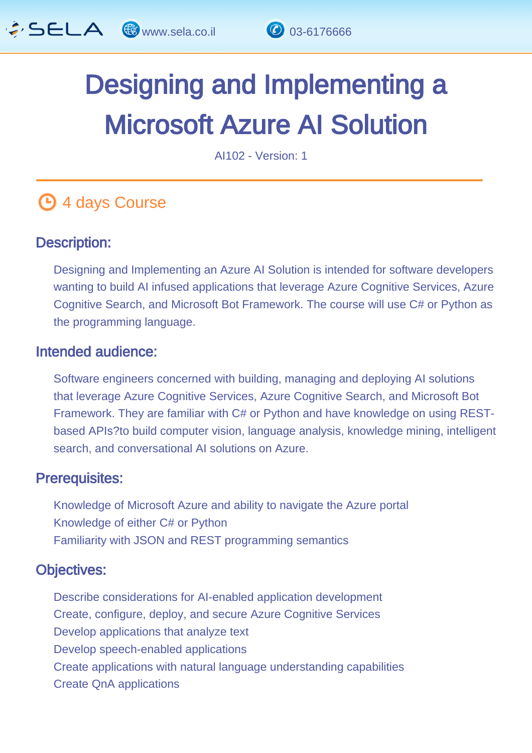

# Designing and Implementing a Microsoft Azure AI Solution

AI102 - Version: 1

## **4 days Course**

#### Description: Ĩ

Designing and Implementing an Azure AI Solution is intended for software developers wanting to build AI infused applications that leverage Azure Cognitive Services, Azure Cognitive Search, and Microsoft Bot Framework. The course will use C# or Python as the programming language.

#### Intended audience: Ï

Software engineers concerned with building, managing and deploying AI solutions that leverage Azure Cognitive Services, Azure Cognitive Search, and Microsoft Bot Framework. They are familiar with C# or Python and have knowledge on using RESTbased APIs?to build computer vision, language analysis, knowledge mining, intelligent search, and conversational AI solutions on Azure.

#### Prerequisites: L.

Knowledge of Microsoft Azure and ability to navigate the Azure portal Knowledge of either C# or Python Familiarity with JSON and REST programming semantics

#### Objectives: Ĭ

Describe considerations for AI-enabled application development Create, configure, deploy, and secure Azure Cognitive Services Develop applications that analyze text Develop speech-enabled applications Create applications with natural language understanding capabilities Create QnA applications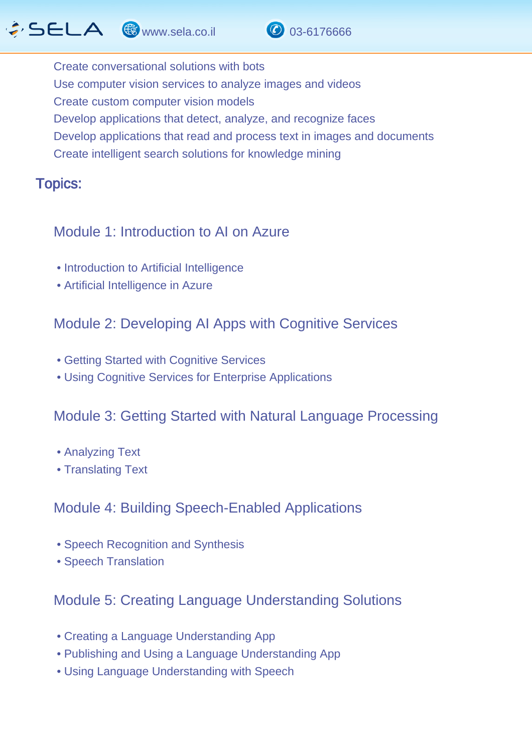# $\hat{G}$  SELA  $\circledast$  www.sela.co.il  $\circledast$  03-6176666



Create conversational solutions with bots Use computer vision services to analyze images and videos Create custom computer vision models Develop applications that detect, analyze, and recognize faces Develop applications that read and process text in images and documents Create intelligent search solutions for knowledge mining

#### Topics: J.

#### Module 1: Introduction to AI on Azure

- Introduction to Artificial Intelligence
- Artificial Intelligence in Azure

#### Module 2: Developing AI Apps with Cognitive Services

- Getting Started with Cognitive Services
- Using Cognitive Services for Enterprise Applications

#### Module 3: Getting Started with Natural Language Processing

- Analyzing Text
- Translating Text

#### Module 4: Building Speech-Enabled Applications

- Speech Recognition and Synthesis
- Speech Translation

#### Module 5: Creating Language Understanding Solutions

- Creating a Language Understanding App
- Publishing and Using a Language Understanding App
- Using Language Understanding with Speech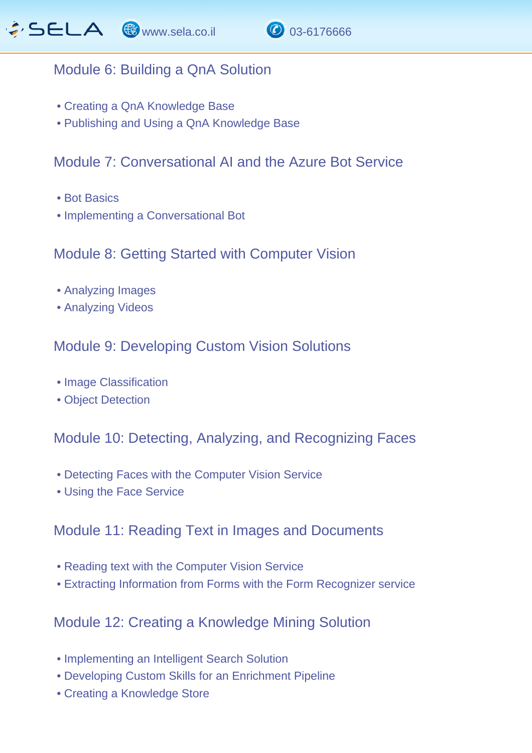

## Module 6: Building a QnA Solution

- Creating a QnA Knowledge Base
- Publishing and Using a QnA Knowledge Base

## Module 7: Conversational AI and the Azure Bot Service

- Bot Basics
- Implementing a Conversational Bot

#### Module 8: Getting Started with Computer Vision

- Analyzing Images
- Analyzing Videos

## Module 9: Developing Custom Vision Solutions

- Image Classification
- Object Detection

Module 10: Detecting, Analyzing, and Recognizing Faces

- Detecting Faces with the Computer Vision Service
- Using the Face Service

## Module 11: Reading Text in Images and Documents

- Reading text with the Computer Vision Service
- Extracting Information from Forms with the Form Recognizer service

## Module 12: Creating a Knowledge Mining Solution

- Implementing an Intelligent Search Solution
- Developing Custom Skills for an Enrichment Pipeline
- Creating a Knowledge Store